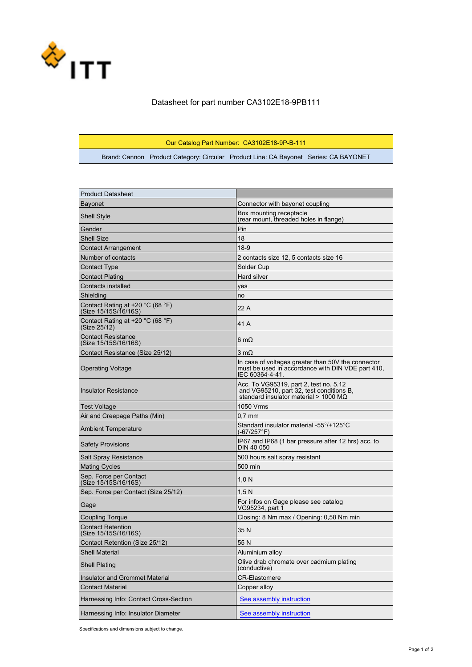

## Datasheet for part number CA3102E18-9PB111

## Our Catalog Part Number: CA3102E18-9P-B-111

Brand: Cannon Product Category: Circular Product Line: CA Bayonet Series: CA BAYONET

| <b>Product Datasheet</b>                                  |                                                                                                                                     |
|-----------------------------------------------------------|-------------------------------------------------------------------------------------------------------------------------------------|
| <b>Bayonet</b>                                            | Connector with bayonet coupling                                                                                                     |
| <b>Shell Style</b>                                        | Box mounting receptacle<br>(rear mount, threaded holes in flange)                                                                   |
| Gender                                                    | Pin                                                                                                                                 |
| Shell Size                                                | 18                                                                                                                                  |
| <b>Contact Arrangement</b>                                | $18-9$                                                                                                                              |
| Number of contacts                                        | 2 contacts size 12, 5 contacts size 16                                                                                              |
| Contact Type                                              | Solder Cup                                                                                                                          |
| Contact Plating                                           | Hard silver                                                                                                                         |
| Contacts installed                                        | yes                                                                                                                                 |
| Shielding                                                 | no                                                                                                                                  |
| Contact Rating at +20 °C (68 °F)<br>(Size 15/15S/1̄6/16S) | 22 A                                                                                                                                |
| Contact Rating at $+20$ °C (68 °F)<br>(Size 25/12)        | 41 A                                                                                                                                |
| Contact Resistance<br>(Size 15/15S/16/16S)                | 6 m $\Omega$                                                                                                                        |
| Contact Resistance (Size 25/12)                           | $3 \text{ mA}$                                                                                                                      |
| <b>Operating Voltage</b>                                  | In case of voltages greater than 50V the connector<br>must be used in accordance with DIN VDE part 410.<br>IEC 60364-4-41.          |
| <b>Insulator Resistance</b>                               | Acc. To VG95319, part 2, test no. 5.12<br>and VG95210, part 32, test conditions B,<br>standard insulator material > 1000 M $\Omega$ |
| Test Voltage                                              | 1050 Vrms                                                                                                                           |
| Air and Creepage Paths (Min)                              | $0.7$ mm                                                                                                                            |
| <b>Ambient Temperature</b>                                | Standard insulator material -55°/+125°C<br>$(-67/257^{\circ}F)$                                                                     |
| <b>Safety Provisions</b>                                  | IP67 and IP68 (1 bar pressure after 12 hrs) acc. to<br><b>DIN 40 050</b>                                                            |
| Salt Spray Resistance                                     | 500 hours salt spray resistant                                                                                                      |
| <b>Mating Cycles</b>                                      | 500 min                                                                                                                             |
| Sep. Force per Contact<br>(Size 15/15S/16/16S)            | 1,0 N                                                                                                                               |
| Sep. Force per Contact (Size 25/12)                       | 1,5 N                                                                                                                               |
| Gage                                                      | For infos on Gage please see catalog<br>VG95234, part 1                                                                             |
| <b>Coupling Torque</b>                                    | Closing: 8 Nm max / Opening: 0.58 Nm min                                                                                            |
| <b>Contact Retention</b><br>(Size 15/15S/16/16S)          | 35 N                                                                                                                                |
| Contact Retention (Size 25/12)                            | 55 N                                                                                                                                |
| <b>Shell Material</b>                                     | Aluminium alloy                                                                                                                     |
| <b>Shell Plating</b>                                      | Olive drab chromate over cadmium plating<br>(conductive)                                                                            |
| Insulator and Grommet Material                            | <b>CR-Elastomere</b>                                                                                                                |
| <b>Contact Material</b>                                   | Copper alloy                                                                                                                        |
| Harnessing Info: Contact Cross-Section                    | See assembly instruction                                                                                                            |
| Harnessing Info: Insulator Diameter                       | See assembly instruction                                                                                                            |

Specifications and dimensions subject to change.